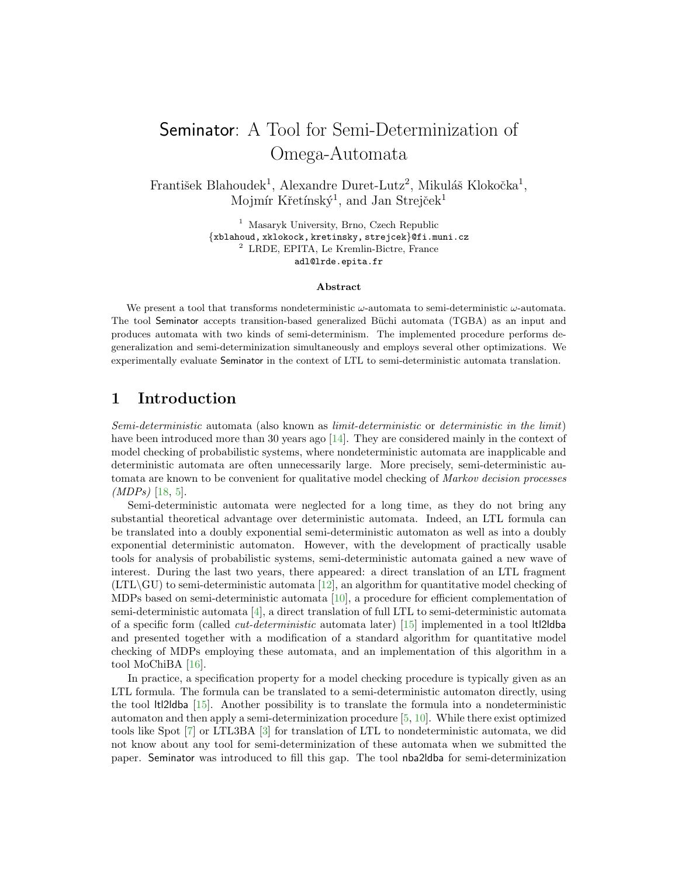# Seminator: A Tool for Semi-Determinization of Omega-Automata

František Blahoudek<sup>1</sup>, Alexandre Duret-Lutz<sup>2</sup>, Mikuláš Klokočka<sup>1</sup>, Mojmír Křetínský<sup>1</sup>, and Jan Strejček<sup>1</sup>

> <sup>1</sup> Masaryk University, Brno, Czech Republic {xblahoud, xklokock, kretinsky, strejcek}@fi.muni.cz <sup>2</sup> LRDE, EPITA, Le Kremlin-Bictre, France adl@lrde.epita.fr

#### Abstract

We present a tool that transforms nondeterministic  $\omega$ -automata to semi-deterministic  $\omega$ -automata. The tool Seminator accepts transition-based generalized Büchi automata (TGBA) as an input and produces automata with two kinds of semi-determinism. The implemented procedure performs degeneralization and semi-determinization simultaneously and employs several other optimizations. We experimentally evaluate Seminator in the context of LTL to semi-deterministic automata translation.

## 1 Introduction

Semi-deterministic automata (also known as limit-deterministic or deterministic in the limit) have been introduced more than 30 years ago [\[14\]](#page-11-0). They are considered mainly in the context of model checking of probabilistic systems, where nondeterministic automata are inapplicable and deterministic automata are often unnecessarily large. More precisely, semi-deterministic automata are known to be convenient for qualitative model checking of *Markov decision processes* (MDPs) [\[18,](#page-11-1) [5\]](#page-10-0).

Semi-deterministic automata were neglected for a long time, as they do not bring any substantial theoretical advantage over deterministic automata. Indeed, an LTL formula can be translated into a doubly exponential semi-deterministic automaton as well as into a doubly exponential deterministic automaton. However, with the development of practically usable tools for analysis of probabilistic systems, semi-deterministic automata gained a new wave of interest. During the last two years, there appeared: a direct translation of an LTL fragment  $(LTL\backslash GU)$  to semi-deterministic automata [\[12\]](#page-11-2), an algorithm for quantitative model checking of MDPs based on semi-deterministic automata [\[10\]](#page-10-1), a procedure for efficient complementation of semi-deterministic automata [\[4\]](#page-10-2), a direct translation of full LTL to semi-deterministic automata of a specific form (called *cut-deterministic* automata later)  $|15|$  implemented in a tool ltl2ldba and presented together with a modification of a standard algorithm for quantitative model checking of MDPs employing these automata, and an implementation of this algorithm in a tool MoChiBA [\[16\]](#page-11-4).

In practice, a specification property for a model checking procedure is typically given as an LTL formula. The formula can be translated to a semi-deterministic automaton directly, using the tool ltl2ldba [\[15\]](#page-11-3). Another possibility is to translate the formula into a nondeterministic automaton and then apply a semi-determinization procedure [\[5,](#page-10-0) [10\]](#page-10-1). While there exist optimized tools like Spot [\[7\]](#page-10-3) or LTL3BA [\[3\]](#page-10-4) for translation of LTL to nondeterministic automata, we did not know about any tool for semi-determinization of these automata when we submitted the paper. Seminator was introduced to fill this gap. The tool nba2ldba for semi-determinization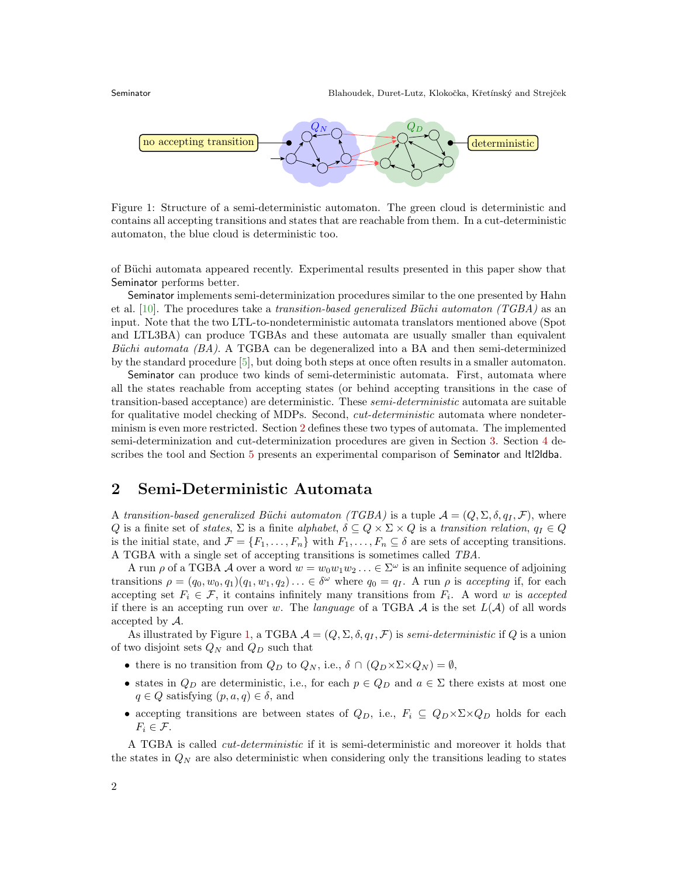

<span id="page-1-1"></span>Figure 1: Structure of a semi-deterministic automaton. The green cloud is deterministic and contains all accepting transitions and states that are reachable from them. In a cut-deterministic automaton, the blue cloud is deterministic too.

of Büchi automata appeared recently. Experimental results presented in this paper show that Seminator performs better.

Seminator implements semi-determinization procedures similar to the one presented by Hahn et al. [\[10\]](#page-10-1). The procedures take a transition-based generalized Büchi automaton (TGBA) as an input. Note that the two LTL-to-nondeterministic automata translators mentioned above (Spot and LTL3BA) can produce TGBAs and these automata are usually smaller than equivalent Büchi automata  $(BA)$ . A TGBA can be degeneralized into a BA and then semi-determinized by the standard procedure [\[5\]](#page-10-0), but doing both steps at once often results in a smaller automaton.

Seminator can produce two kinds of semi-deterministic automata. First, automata where all the states reachable from accepting states (or behind accepting transitions in the case of transition-based acceptance) are deterministic. These semi-deterministic automata are suitable for qualitative model checking of MDPs. Second, *cut-deterministic* automata where nondeterminism is even more restricted. Section [2](#page-1-0) defines these two types of automata. The implemented semi-determinization and cut-determinization procedures are given in Section [3.](#page-2-0) Section [4](#page-3-0) de-scribes the tool and Section [5](#page-4-0) presents an experimental comparison of Seminator and ltl2ldba.

## <span id="page-1-0"></span>2 Semi-Deterministic Automata

A transition-based generalized Büchi automaton (TGBA) is a tuple  $\mathcal{A} = (Q, \Sigma, \delta, q_I, \mathcal{F})$ , where Q is a finite set of states,  $\Sigma$  is a finite alphabet,  $\delta \subseteq Q \times \Sigma \times Q$  is a transition relation,  $q_I \in Q$ is the initial state, and  $\mathcal{F} = \{F_1, \ldots, F_n\}$  with  $F_1, \ldots, F_n \subseteq \delta$  are sets of accepting transitions. A TGBA with a single set of accepting transitions is sometimes called TBA.

A run  $\rho$  of a TGBA A over a word  $w = w_0w_1w_2... \in \Sigma^\omega$  is an infinite sequence of adjoining transitions  $\rho = (q_0, w_0, q_1)(q_1, w_1, q_2) \dots \in \delta^{\omega}$  where  $q_0 = q_I$ . A run  $\rho$  is accepting if, for each accepting set  $F_i \in \mathcal{F}$ , it contains infinitely many transitions from  $F_i$ . A word w is accepted if there is an accepting run over w. The language of a TGBA  $\mathcal A$  is the set  $L(\mathcal A)$  of all words accepted by A.

As illustrated by Figure [1,](#page-1-1) a TGBA  $\mathcal{A} = (Q, \Sigma, \delta, q_I, \mathcal{F})$  is semi-deterministic if Q is a union of two disjoint sets  $Q_N$  and  $Q_D$  such that

- there is no transition from  $Q_D$  to  $Q_N$ , i.e.,  $\delta \cap (Q_D \times \Sigma \times Q_N) = \emptyset$ ,
- states in  $Q_D$  are deterministic, i.e., for each  $p \in Q_D$  and  $a \in \Sigma$  there exists at most one  $q \in Q$  satisfying  $(p, a, q) \in \delta$ , and
- accepting transitions are between states of  $Q_D$ , i.e.,  $F_i \subseteq Q_D \times \Sigma \times Q_D$  holds for each  $F_i \in \mathcal{F}.$

A TGBA is called cut-deterministic if it is semi-deterministic and moreover it holds that the states in  $Q_N$  are also deterministic when considering only the transitions leading to states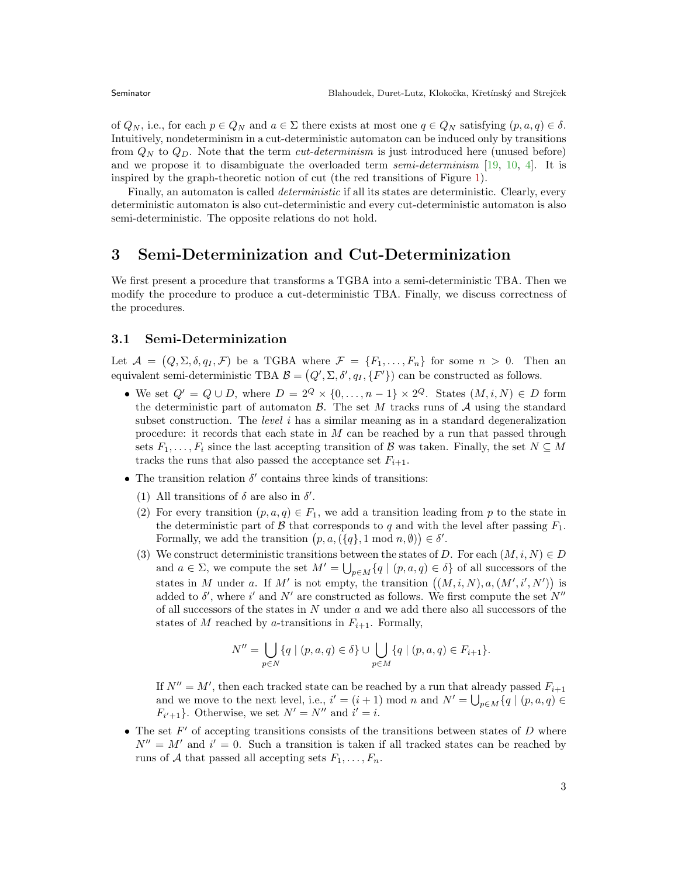of  $Q_N$ , i.e., for each  $p \in Q_N$  and  $a \in \Sigma$  there exists at most one  $q \in Q_N$  satisfying  $(p, a, q) \in \delta$ . Intuitively, nondeterminism in a cut-deterministic automaton can be induced only by transitions from  $Q_N$  to  $Q_D$ . Note that the term *cut-determinism* is just introduced here (unused before) and we propose it to disambiguate the overloaded term semi-determinism [\[19,](#page-11-5) [10,](#page-10-1) [4\]](#page-10-2). It is inspired by the graph-theoretic notion of cut (the red transitions of Figure [1\)](#page-1-1).

Finally, an automaton is called *deterministic* if all its states are deterministic. Clearly, every deterministic automaton is also cut-deterministic and every cut-deterministic automaton is also semi-deterministic. The opposite relations do not hold.

## <span id="page-2-0"></span>3 Semi-Determinization and Cut-Determinization

We first present a procedure that transforms a TGBA into a semi-deterministic TBA. Then we modify the procedure to produce a cut-deterministic TBA. Finally, we discuss correctness of the procedures.

### 3.1 Semi-Determinization

Let  $\mathcal{A} = (Q, \Sigma, \delta, q_I, \mathcal{F})$  be a TGBA where  $\mathcal{F} = \{F_1, \ldots, F_n\}$  for some  $n > 0$ . Then an equivalent semi-deterministic TBA  $\mathcal{B} = (Q', \Sigma, \delta', q_I, \{F'\})$  can be constructed as follows.

- We set  $Q' = Q \cup D$ , where  $D = 2^Q \times \{0, \ldots, n-1\} \times 2^Q$ . States  $(M, i, N) \in D$  form the deterministic part of automaton  $\mathcal{B}$ . The set M tracks runs of  $\mathcal{A}$  using the standard subset construction. The *level*  $i$  has a similar meaning as in a standard degeneralization procedure: it records that each state in M can be reached by a run that passed through sets  $F_1, \ldots, F_i$  since the last accepting transition of B was taken. Finally, the set  $N \subseteq M$ tracks the runs that also passed the acceptance set  $F_{i+1}$ .
- The transition relation  $\delta'$  contains three kinds of transitions:
	- (1) All transitions of  $\delta$  are also in  $\delta'$ .
	- (2) For every transition  $(p, a, q) \in F_1$ , we add a transition leading from p to the state in the deterministic part of B that corresponds to q and with the level after passing  $F_1$ . Formally, we add the transition  $(p, a, (\lbrace q \rbrace, 1 \mod n, \emptyset)) \in \delta'.$
	- (3) We construct deterministic transitions between the states of D. For each  $(M, i, N) \in D$ and  $a \in \Sigma$ , we compute the set  $M' = \bigcup_{p \in M} \{q \mid (p, a, q) \in \delta\}$  of all successors of the states in M under a. If M' is not empty, the transition  $((M, i, N), a, (M', i', N'))$  is added to  $\delta'$ , where i' and N' are constructed as follows. We first compute the set N'' of all successors of the states in  $N$  under  $a$  and we add there also all successors of the states of M reached by a-transitions in  $F_{i+1}$ . Formally,

$$
N'' = \bigcup_{p \in N} \{q \mid (p, a, q) \in \delta\} \cup \bigcup_{p \in M} \{q \mid (p, a, q) \in F_{i+1}\}.
$$

If  $N'' = M'$ , then each tracked state can be reached by a run that already passed  $F_{i+1}$ and we move to the next level, i.e.,  $i' = (i + 1) \mod n$  and  $N' = \bigcup_{p \in M} \{q \mid (p, a, q) \in$  $F_{i'+1}$ . Otherwise, we set  $N' = N''$  and  $i' = i$ .

• The set  $F'$  of accepting transitions consists of the transitions between states of  $D$  where  $N'' = M'$  and  $i' = 0$ . Such a transition is taken if all tracked states can be reached by runs of A that passed all accepting sets  $F_1, \ldots, F_n$ .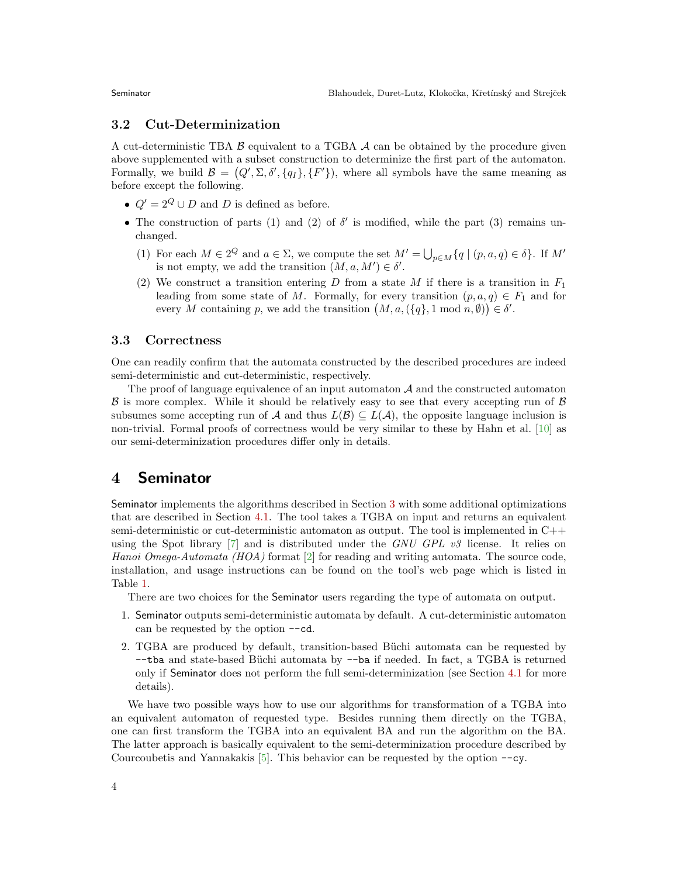### 3.2 Cut-Determinization

A cut-deterministic TBA  $\beta$  equivalent to a TGBA  $\mathcal A$  can be obtained by the procedure given above supplemented with a subset construction to determinize the first part of the automaton. Formally, we build  $\mathcal{B} = (Q', \Sigma, \delta', \{q_I\}, \{F'\})$ , where all symbols have the same meaning as before except the following.

- $Q' = 2^Q \cup D$  and D is defined as before.
- The construction of parts (1) and (2) of  $\delta'$  is modified, while the part (3) remains unchanged.
	- (1) For each  $M \in 2^Q$  and  $a \in \Sigma$ , we compute the set  $M' = \bigcup_{p \in M} \{q \mid (p, a, q) \in \delta\}$ . If  $M'$ is not empty, we add the transition  $(M, a, M') \in \delta'$ .
	- (2) We construct a transition entering D from a state M if there is a transition in  $F_1$ leading from some state of M. Formally, for every transition  $(p, a, q) \in F_1$  and for every M containing p, we add the transition  $(M, a, (\lbrace q \rbrace, 1 \mod n, \emptyset)) \in \delta'.$

### 3.3 Correctness

One can readily confirm that the automata constructed by the described procedures are indeed semi-deterministic and cut-deterministic, respectively.

The proof of language equivalence of an input automaton  $A$  and the constructed automaton  $\beta$  is more complex. While it should be relatively easy to see that every accepting run of  $\beta$ subsumes some accepting run of A and thus  $L(\mathcal{B}) \subseteq L(\mathcal{A})$ , the opposite language inclusion is non-trivial. Formal proofs of correctness would be very similar to these by Hahn et al. [\[10\]](#page-10-1) as our semi-determinization procedures differ only in details.

## <span id="page-3-0"></span>4 Seminator

Seminator implements the algorithms described in Section [3](#page-2-0) with some additional optimizations that are described in Section [4.1.](#page-4-1) The tool takes a TGBA on input and returns an equivalent semi-deterministic or cut-deterministic automaton as output. The tool is implemented in C++ using the Spot library  $[7]$  and is distributed under the GNU GPL v3 license. It relies on Hanoi Omega-Automata (HOA) format  $[2]$  for reading and writing automata. The source code, installation, and usage instructions can be found on the tool's web page which is listed in Table [1.](#page-5-0)

There are two choices for the Seminator users regarding the type of automata on output.

- 1. Seminator outputs semi-deterministic automata by default. A cut-deterministic automaton can be requested by the option --cd.
- 2. TGBA are produced by default, transition-based Büchi automata can be requested by  $-$ tba and state-based Büchi automata by  $-$ ba if needed. In fact, a TGBA is returned only if Seminator does not perform the full semi-determinization (see Section [4.1](#page-4-1) for more details).

We have two possible ways how to use our algorithms for transformation of a TGBA into an equivalent automaton of requested type. Besides running them directly on the TGBA, one can first transform the TGBA into an equivalent BA and run the algorithm on the BA. The latter approach is basically equivalent to the semi-determinization procedure described by Courcoubetis and Yannakakis [\[5\]](#page-10-0). This behavior can be requested by the option --cy.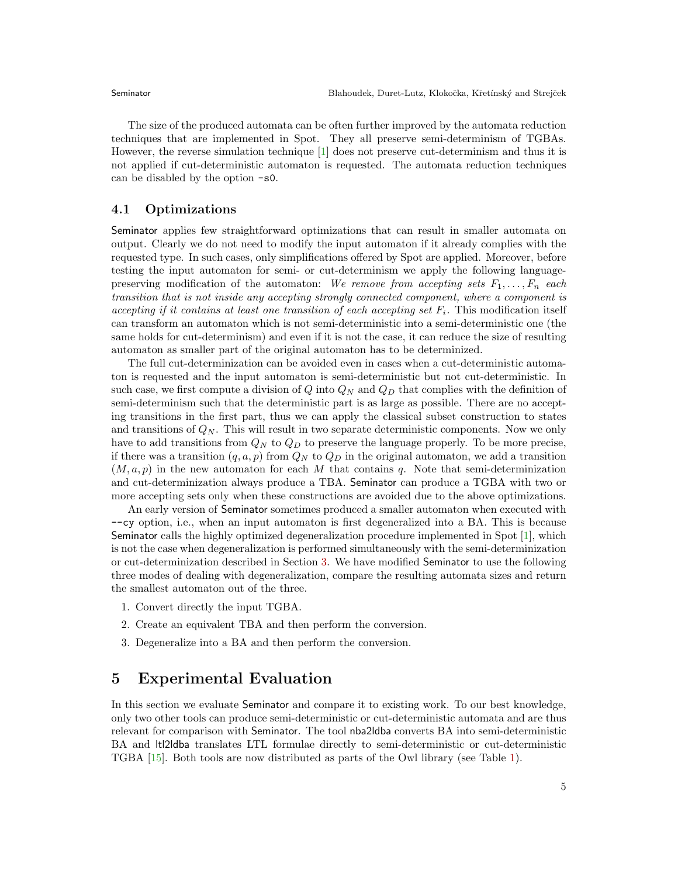The size of the produced automata can be often further improved by the automata reduction techniques that are implemented in Spot. They all preserve semi-determinism of TGBAs. However, the reverse simulation technique [\[1\]](#page-10-6) does not preserve cut-determinism and thus it is not applied if cut-deterministic automaton is requested. The automata reduction techniques can be disabled by the option -s0.

#### <span id="page-4-1"></span>4.1 Optimizations

Seminator applies few straightforward optimizations that can result in smaller automata on output. Clearly we do not need to modify the input automaton if it already complies with the requested type. In such cases, only simplifications offered by Spot are applied. Moreover, before testing the input automaton for semi- or cut-determinism we apply the following languagepreserving modification of the automaton: We remove from accepting sets  $F_1, \ldots, F_n$  each transition that is not inside any accepting strongly connected component, where a component is accepting if it contains at least one transition of each accepting set  $F_i$ . This modification itself can transform an automaton which is not semi-deterministic into a semi-deterministic one (the same holds for cut-determinism) and even if it is not the case, it can reduce the size of resulting automaton as smaller part of the original automaton has to be determinized.

The full cut-determinization can be avoided even in cases when a cut-deterministic automaton is requested and the input automaton is semi-deterministic but not cut-deterministic. In such case, we first compute a division of Q into  $Q_N$  and  $Q_D$  that complies with the definition of semi-determinism such that the deterministic part is as large as possible. There are no accepting transitions in the first part, thus we can apply the classical subset construction to states and transitions of  $Q_N$ . This will result in two separate deterministic components. Now we only have to add transitions from  $Q_N$  to  $Q_D$  to preserve the language properly. To be more precise, if there was a transition  $(q, a, p)$  from  $Q_N$  to  $Q_D$  in the original automaton, we add a transition  $(M, a, p)$  in the new automaton for each M that contains q. Note that semi-determinization and cut-determinization always produce a TBA. Seminator can produce a TGBA with two or more accepting sets only when these constructions are avoided due to the above optimizations.

An early version of Seminator sometimes produced a smaller automaton when executed with --cy option, i.e., when an input automaton is first degeneralized into a BA. This is because Seminator calls the highly optimized degeneralization procedure implemented in Spot [\[1\]](#page-10-6), which is not the case when degeneralization is performed simultaneously with the semi-determinization or cut-determinization described in Section [3.](#page-2-0) We have modified Seminator to use the following three modes of dealing with degeneralization, compare the resulting automata sizes and return the smallest automaton out of the three.

- 1. Convert directly the input TGBA.
- 2. Create an equivalent TBA and then perform the conversion.
- 3. Degeneralize into a BA and then perform the conversion.

## <span id="page-4-0"></span>5 Experimental Evaluation

In this section we evaluate Seminator and compare it to existing work. To our best knowledge, only two other tools can produce semi-deterministic or cut-deterministic automata and are thus relevant for comparison with Seminator. The tool nba2ldba converts BA into semi-deterministic BA and ltl2ldba translates LTL formulae directly to semi-deterministic or cut-deterministic TGBA [\[15\]](#page-11-3). Both tools are now distributed as parts of the Owl library (see Table [1\)](#page-5-0).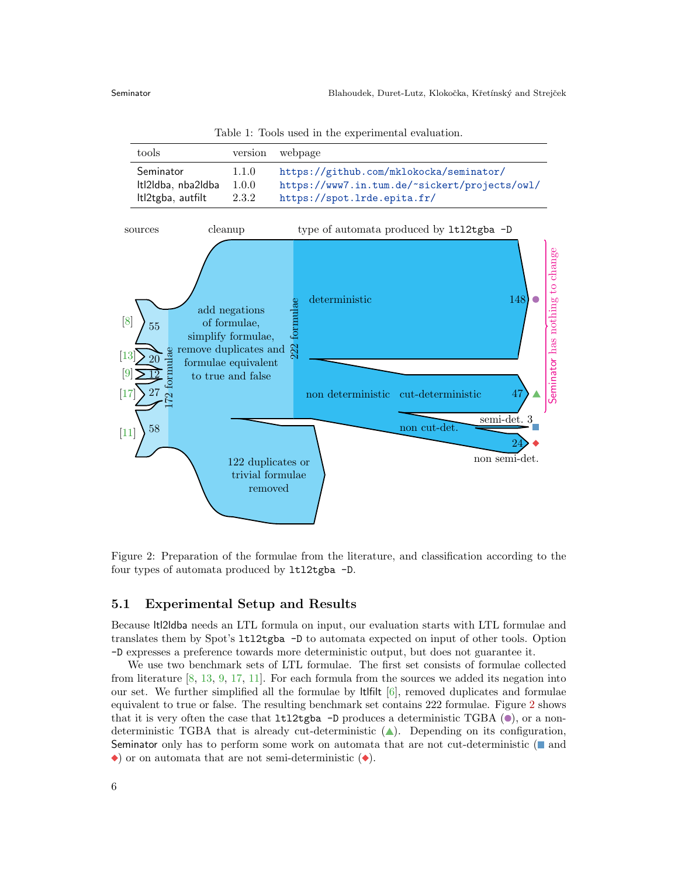<span id="page-5-0"></span>Table 1: Tools used in the experimental evaluation.

| tools              | version | webpage                                       |
|--------------------|---------|-----------------------------------------------|
| Seminator          | 1.1.0   | https://github.com/mklokocka/seminator/       |
| Itl2ldba, nba2ldba | 1.0.0   | https://www7.in.tum.de/~sickert/projects/owl/ |
| Itl2tgba, autfilt  | 2.3.2   | https://spot.lrde.epita.fr/                   |



<span id="page-5-1"></span>Figure 2: Preparation of the formulae from the literature, and classification according to the four types of automata produced by ltl2tgba -D.

### 5.1 Experimental Setup and Results

Because ltl2ldba needs an LTL formula on input, our evaluation starts with LTL formulae and translates them by Spot's ltl2tgba -D to automata expected on input of other tools. Option -D expresses a preference towards more deterministic output, but does not guarantee it.

We use two benchmark sets of LTL formulae. The first set consists of formulae collected from literature [\[8,](#page-10-7) [13,](#page-11-6) [9,](#page-10-8) [17,](#page-11-7) [11\]](#page-11-8). For each formula from the sources we added its negation into our set. We further simplified all the formulae by  $\text{lt}$  ltifilt  $[6]$ , removed duplicates and formulae equivalent to true or false. The resulting benchmark set contains 222 formulae. Figure [2](#page-5-1) shows that it is very often the case that  $ltl12tgba -D$  produces a deterministic TGBA ( $\bullet$ ), or a nondeterministic TGBA that is already cut-deterministic  $($ ). Depending on its configuration, Seminator only has to perform some work on automata that are not cut-deterministic  $(\blacksquare$  and  $\bullet$ ) or on automata that are not semi-deterministic  $(\bullet)$ .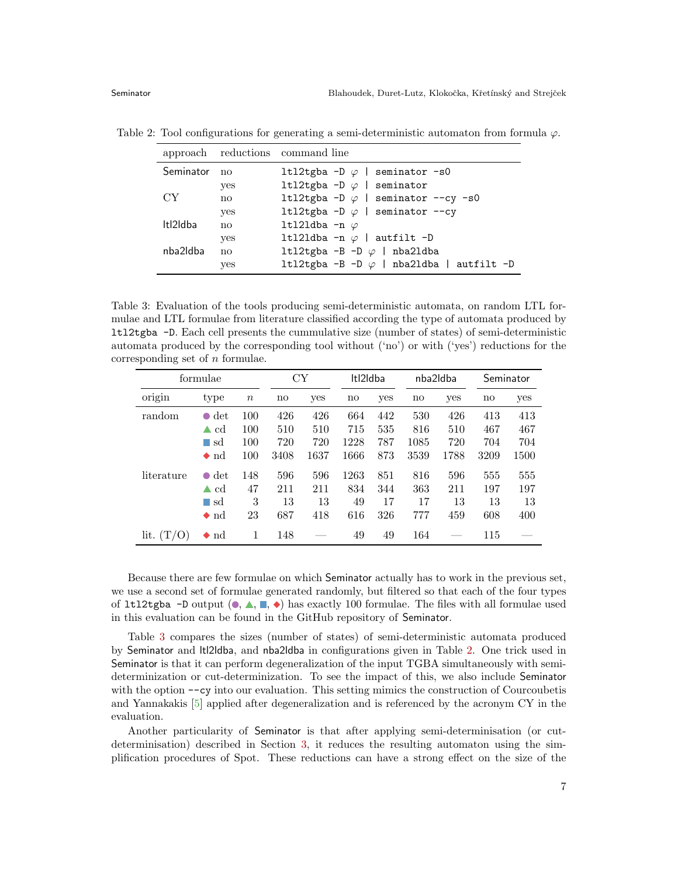<span id="page-6-1"></span>

|           |                        | approach reductions command line                 |
|-----------|------------------------|--------------------------------------------------|
| Seminator | no                     | 1t12tgba -D $\varphi$   seminator -s0            |
|           | yes                    | 1t12tgba -D $\varphi$   seminator                |
| CY.       | no                     | 1t12tgba -D $\varphi$   seminator --cy -s0       |
|           | yes                    | 1t12tgba -D $\varphi$   seminator --cy           |
| Itl2Idba  | $\mathbf{n}\mathbf{o}$ | 1t121dba -n $\varphi$                            |
|           | yes                    | 1t121dba -n $\varphi$   autfilt -D               |
| nba2ldba  | no                     | 1t12tgba -B -D $\varphi$   nba21dba              |
|           | <b>ves</b>             | 1t12tgba -B -D $\varphi$   nba21dba   autfilt -D |

Table 2: Tool configurations for generating a semi-deterministic automaton from formula  $\varphi$ .

<span id="page-6-0"></span>Table 3: Evaluation of the tools producing semi-deterministic automata, on random LTL formulae and LTL formulae from literature classified according the type of automata produced by ltl2tgba -D. Each cell presents the cummulative size (number of states) of semi-deterministic automata produced by the corresponding tool without ('no') or with ('yes') reductions for the corresponding set of  $n$  formulae.

| formulae   |                     | СY       |      | Itl2Idba |      | nba2ldba |      | Seminator |      |      |
|------------|---------------------|----------|------|----------|------|----------|------|-----------|------|------|
| origin     | type                | $\it{n}$ | no   | yes      | no   | yes      | no   | yes       | no   | yes  |
| random     | det<br>$\bullet$    | 100      | 426  | 426      | 664  | 442      | 530  | 426       | 413  | 413  |
|            | <sub>cd</sub><br>▲  | 100      | 510  | 510      | 715  | 535      | 816  | 510       | 467  | 467  |
|            | $\Box$ sd           | 100      | 720  | 720      | 1228 | 787      | 1085 | 720       | 704  | 704  |
|            | $\bullet$ nd        | 100      | 3408 | 1637     | 1666 | 873      | 3539 | 1788      | 3209 | 1500 |
| literature | $\bullet$ det       | 148      | 596  | 596      | 1263 | 851      | 816  | 596       | 555  | 555  |
|            | $\blacktriangle$ cd | 47       | 211  | 211      | 834  | 344      | 363  | 211       | 197  | 197  |
|            | $\Box$ sd           | 3        | 13   | 13       | 49   | 17       | 17   | 13        | 13   | 13   |
|            | $\bullet$ nd        | 23       | 687  | 418      | 616  | 326      | 777  | 459       | 608  | 400  |
| lit.       | $\bullet$ nd        | 1        | 148  |          | 49   | 49       | 164  |           | 115  |      |

Because there are few formulae on which Seminator actually has to work in the previous set, we use a second set of formulae generated randomly, but filtered so that each of the four types of 1t12tgba -D output ( $\bullet, \blacktriangle, \blacksquare, \blacktriangleright$ ) has exactly 100 formulae. The files with all formulae used in this evaluation can be found in the GitHub repository of Seminator.

Table [3](#page-6-0) compares the sizes (number of states) of semi-deterministic automata produced by Seminator and ltl2ldba, and nba2ldba in configurations given in Table [2.](#page-6-1) One trick used in Seminator is that it can perform degeneralization of the input TGBA simultaneously with semideterminization or cut-determinization. To see the impact of this, we also include Seminator with the option  $-\infty$  into our evaluation. This setting mimics the construction of Courcoubetis and Yannakakis [\[5\]](#page-10-0) applied after degeneralization and is referenced by the acronym CY in the evaluation.

Another particularity of Seminator is that after applying semi-determinisation (or cutdeterminisation) described in Section [3,](#page-2-0) it reduces the resulting automaton using the simplification procedures of Spot. These reductions can have a strong effect on the size of the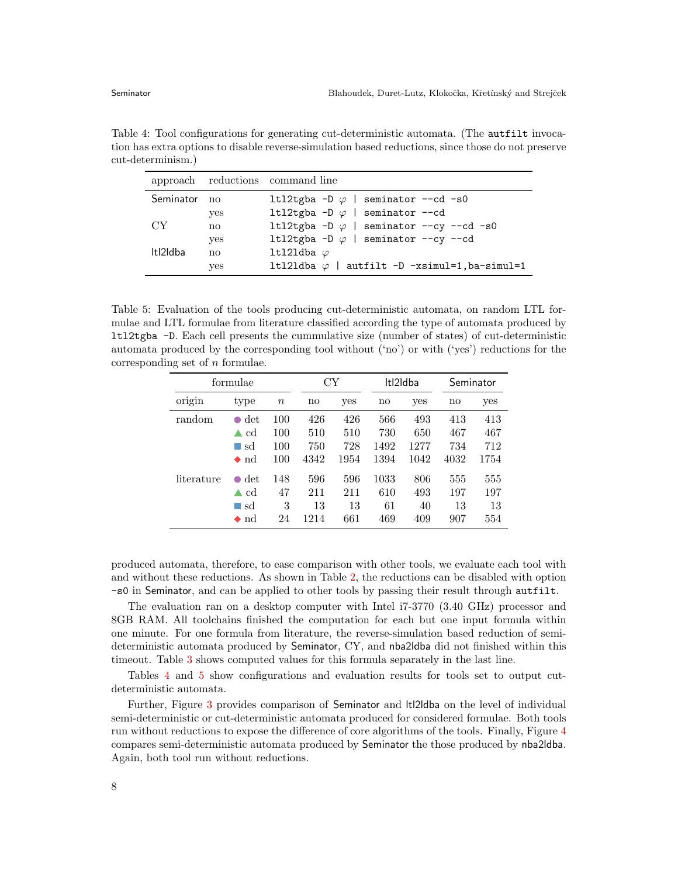<span id="page-7-0"></span>Table 4: Tool configurations for generating cut-deterministic automata. (The autfilt invocation has extra options to disable reverse-simulation based reductions, since those do not preserve cut-determinism.)

|              |     | approach reductions command line                      |
|--------------|-----|-------------------------------------------------------|
| Seminator no |     | 1t12tgba -D $\varphi$   seminator --cd -s0            |
|              | yes | 1t12tgba -D $\varphi$   seminator --cd                |
| CY.          | no  | 1t12tgba -D $\varphi$   seminator --cy --cd -s0       |
|              | yes | 1t12tgba -D $\varphi$   seminator --cy --cd           |
| Itl2Idba     | no  | ltl2ldba $\varphi$                                    |
|              | yes | 1t121dba $\varphi$   autfilt -D -xsimul=1, ba-simul=1 |

<span id="page-7-1"></span>Table 5: Evaluation of the tools producing cut-deterministic automata, on random LTL formulae and LTL formulae from literature classified according the type of automata produced by ltl2tgba -D. Each cell presents the cummulative size (number of states) of cut-deterministic automata produced by the corresponding tool without ('no') or with ('yes') reductions for the corresponding set of n formulae.

| formulae   |                     |         | СY   |      |          | Itl2Idba | Seminator |      |
|------------|---------------------|---------|------|------|----------|----------|-----------|------|
| origin     | type                | $\it n$ | no   | yes  | no       | yes      | no        | yes  |
| random     | det<br>$\bullet$    | 100     | 426  | 426  | 566      | 493      | 413       | 413  |
|            | cd<br>▲             | 100     | 510  | 510  | 730      | 650      | 467       | 467  |
|            | sd<br>m.            | 100     | 750  | 728  | 1492     | 1277     | 734       | 712  |
|            | $\bullet$ nd        | 100     | 4342 | 1954 | 1394     | 1042     | 4032      | 1754 |
| literature | $\det$<br>$\bullet$ | 148     | 596  | 596  | $1033\,$ | 806      | 555       | 555  |
|            | <sub>cd</sub><br>▲  | 47      | 211  | 211  | 610      | 493      | 197       | 197  |
|            | $\Box$ sd           | 3       | 13   | 13   | 61       | 40       | 13        | 13   |
|            | $\bullet$ nd        | 24      | 1214 | 661  | 469      | 409      | 907       | 554  |

produced automata, therefore, to ease comparison with other tools, we evaluate each tool with and without these reductions. As shown in Table [2,](#page-6-1) the reductions can be disabled with option -s0 in Seminator, and can be applied to other tools by passing their result through autfilt.

The evaluation ran on a desktop computer with Intel i7-3770 (3.40 GHz) processor and 8GB RAM. All toolchains finished the computation for each but one input formula within one minute. For one formula from literature, the reverse-simulation based reduction of semideterministic automata produced by Seminator, CY, and nba2ldba did not finished within this timeout. Table [3](#page-6-0) shows computed values for this formula separately in the last line.

Tables [4](#page-7-0) and [5](#page-7-1) show configurations and evaluation results for tools set to output cutdeterministic automata.

Further, Figure [3](#page-8-0) provides comparison of Seminator and ltl2ldba on the level of individual semi-deterministic or cut-deterministic automata produced for considered formulae. Both tools run without reductions to expose the difference of core algorithms of the tools. Finally, Figure [4](#page-9-0) compares semi-deterministic automata produced by Seminator the those produced by nba2ldba. Again, both tool run without reductions.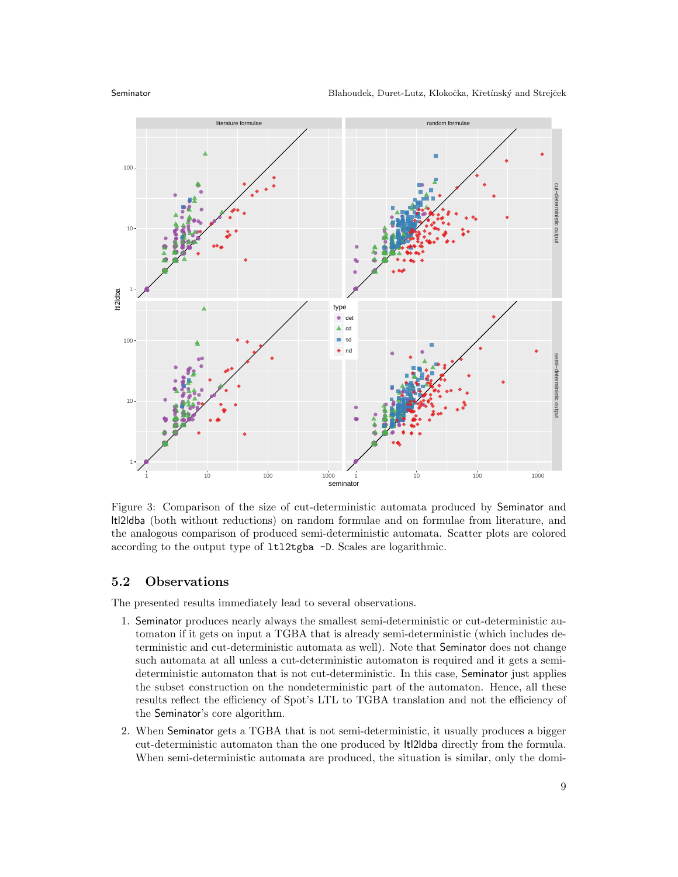

<span id="page-8-0"></span>Figure 3: Comparison of the size of cut-deterministic automata produced by Seminator and ltl2ldba (both without reductions) on random formulae and on formulae from literature, and the analogous comparison of produced semi-deterministic automata. Scatter plots are colored according to the output type of ltl2tgba -D. Scales are logarithmic.

### 5.2 Observations

The presented results immediately lead to several observations.

- 1. Seminator produces nearly always the smallest semi-deterministic or cut-deterministic automaton if it gets on input a TGBA that is already semi-deterministic (which includes deterministic and cut-deterministic automata as well). Note that Seminator does not change such automata at all unless a cut-deterministic automaton is required and it gets a semideterministic automaton that is not cut-deterministic. In this case, Seminator just applies the subset construction on the nondeterministic part of the automaton. Hence, all these results reflect the efficiency of Spot's LTL to TGBA translation and not the efficiency of the Seminator's core algorithm.
- 2. When Seminator gets a TGBA that is not semi-deterministic, it usually produces a bigger cut-deterministic automaton than the one produced by ltl2ldba directly from the formula. When semi-deterministic automata are produced, the situation is similar, only the domi-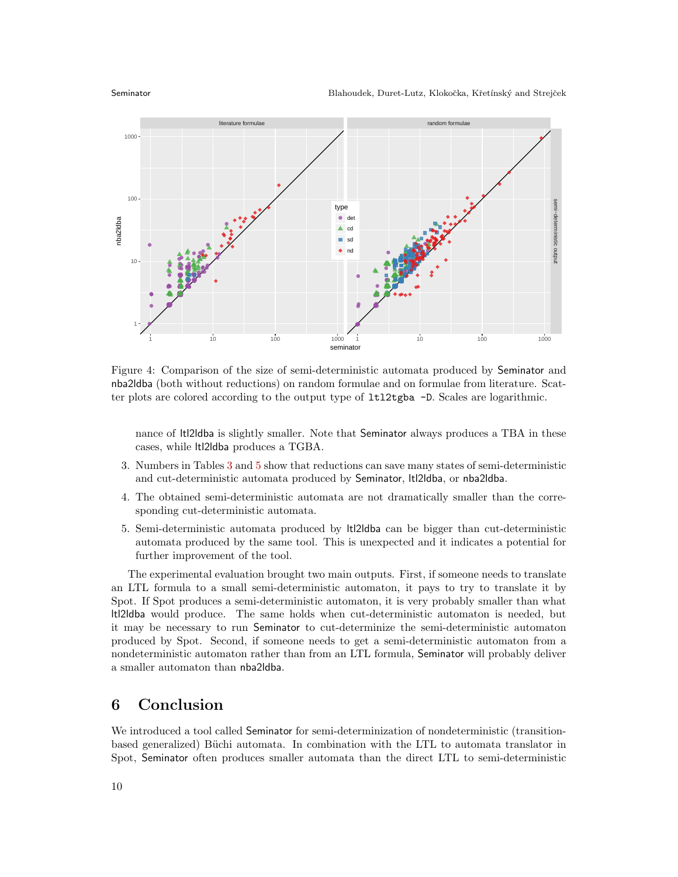

<span id="page-9-0"></span>Figure 4: Comparison of the size of semi-deterministic automata produced by Seminator and nba2ldba (both without reductions) on random formulae and on formulae from literature. Scatter plots are colored according to the output type of ltl2tgba -D. Scales are logarithmic.

nance of ltl2ldba is slightly smaller. Note that Seminator always produces a TBA in these cases, while ltl2ldba produces a TGBA.

- 3. Numbers in Tables [3](#page-6-0) and [5](#page-7-1) show that reductions can save many states of semi-deterministic and cut-deterministic automata produced by Seminator, ltl2ldba, or nba2ldba.
- 4. The obtained semi-deterministic automata are not dramatically smaller than the corresponding cut-deterministic automata.
- 5. Semi-deterministic automata produced by ltl2ldba can be bigger than cut-deterministic automata produced by the same tool. This is unexpected and it indicates a potential for further improvement of the tool.

The experimental evaluation brought two main outputs. First, if someone needs to translate an LTL formula to a small semi-deterministic automaton, it pays to try to translate it by Spot. If Spot produces a semi-deterministic automaton, it is very probably smaller than what ltl2ldba would produce. The same holds when cut-deterministic automaton is needed, but it may be necessary to run Seminator to cut-determinize the semi-deterministic automaton produced by Spot. Second, if someone needs to get a semi-deterministic automaton from a nondeterministic automaton rather than from an LTL formula, Seminator will probably deliver a smaller automaton than nba2ldba.

## 6 Conclusion

We introduced a tool called Seminator for semi-determinization of nondeterministic (transitionbased generalized) Büchi automata. In combination with the LTL to automata translator in Spot, Seminator often produces smaller automata than the direct LTL to semi-deterministic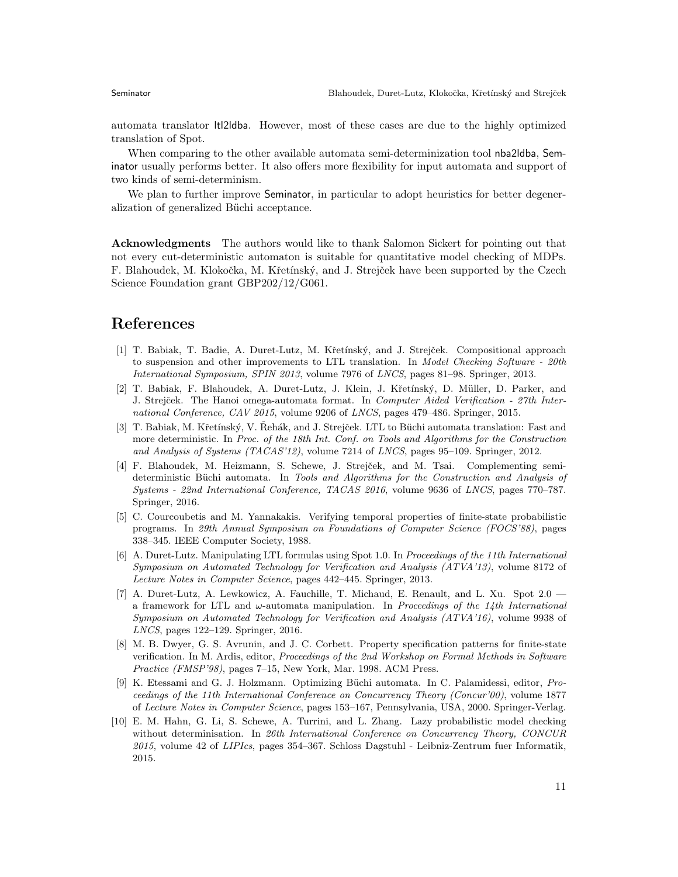automata translator ltl2ldba. However, most of these cases are due to the highly optimized translation of Spot.

When comparing to the other available automata semi-determinization tool nba2ldba, Seminator usually performs better. It also offers more flexibility for input automata and support of two kinds of semi-determinism.

We plan to further improve Seminator, in particular to adopt heuristics for better degeneralization of generalized Büchi acceptance.

Acknowledgments The authors would like to thank Salomon Sickert for pointing out that not every cut-deterministic automaton is suitable for quantitative model checking of MDPs. F. Blahoudek, M. Klokočka, M. Křetínský, and J. Strejček have been supported by the Czech Science Foundation grant GBP202/12/G061.

## References

- <span id="page-10-6"></span>[1] T. Babiak, T. Badie, A. Duret-Lutz, M. Kˇret´ınsk´y, and J. Strejˇcek. Compositional approach to suspension and other improvements to LTL translation. In Model Checking Software - 20th International Symposium, SPIN 2013, volume 7976 of LNCS, pages 81–98. Springer, 2013.
- <span id="page-10-5"></span>[2] T. Babiak, F. Blahoudek, A. Duret-Lutz, J. Klein, J. Křetínský, D. Müller, D. Parker, and J. Strejček. The Hanoi omega-automata format. In Computer Aided Verification - 27th International Conference, CAV 2015, volume 9206 of LNCS, pages 479–486. Springer, 2015.
- <span id="page-10-4"></span>[3] T. Babiak, M. Křetínský, V. Řehák, and J. Strejček. LTL to Büchi automata translation: Fast and more deterministic. In Proc. of the 18th Int. Conf. on Tools and Algorithms for the Construction and Analysis of Systems (TACAS'12), volume 7214 of LNCS, pages 95–109. Springer, 2012.
- <span id="page-10-2"></span>[4] F. Blahoudek, M. Heizmann, S. Schewe, J. Strejček, and M. Tsai. Complementing semideterministic Büchi automata. In Tools and Algorithms for the Construction and Analysis of Systems - 22nd International Conference, TACAS 2016, volume 9636 of LNCS, pages 770–787. Springer, 2016.
- <span id="page-10-0"></span>[5] C. Courcoubetis and M. Yannakakis. Verifying temporal properties of finite-state probabilistic programs. In 29th Annual Symposium on Foundations of Computer Science (FOCS'88), pages 338–345. IEEE Computer Society, 1988.
- <span id="page-10-9"></span>[6] A. Duret-Lutz. Manipulating LTL formulas using Spot 1.0. In Proceedings of the 11th International Symposium on Automated Technology for Verification and Analysis (ATVA'13), volume 8172 of Lecture Notes in Computer Science, pages 442–445. Springer, 2013.
- <span id="page-10-3"></span>[7] A. Duret-Lutz, A. Lewkowicz, A. Fauchille, T. Michaud, E. Renault, and L. Xu. Spot 2.0 a framework for LTL and  $\omega$ -automata manipulation. In *Proceedings of the 14th International* Symposium on Automated Technology for Verification and Analysis (ATVA'16), volume 9938 of LNCS, pages 122–129. Springer, 2016.
- <span id="page-10-7"></span>[8] M. B. Dwyer, G. S. Avrunin, and J. C. Corbett. Property specification patterns for finite-state verification. In M. Ardis, editor, Proceedings of the 2nd Workshop on Formal Methods in Software Practice (FMSP'98), pages 7–15, New York, Mar. 1998. ACM Press.
- <span id="page-10-8"></span>[9] K. Etessami and G. J. Holzmann. Optimizing Büchi automata. In C. Palamidessi, editor, Proceedings of the 11th International Conference on Concurrency Theory (Concur'00), volume 1877 of Lecture Notes in Computer Science, pages 153–167, Pennsylvania, USA, 2000. Springer-Verlag.
- <span id="page-10-1"></span>[10] E. M. Hahn, G. Li, S. Schewe, A. Turrini, and L. Zhang. Lazy probabilistic model checking without determinisation. In 26th International Conference on Concurrency Theory, CONCUR 2015, volume 42 of LIPIcs, pages 354–367. Schloss Dagstuhl - Leibniz-Zentrum fuer Informatik, 2015.